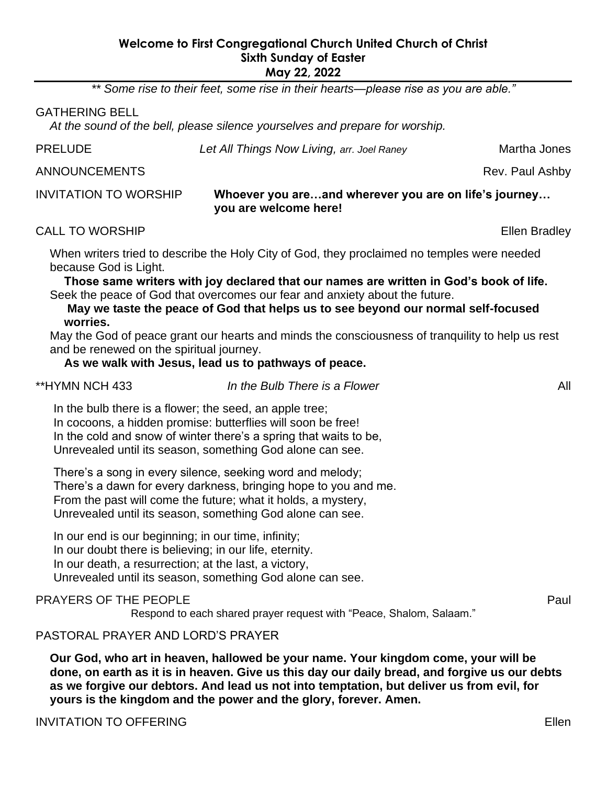## **Welcome to First Congregational Church United Church of Christ Sixth Sunday of Easter May 22, 2022**

*\*\* Some rise to their feet, some rise in their hearts—please rise as you are able."*

#### GATHERING BELL

*At the sound of the bell, please silence yourselves and prepare for worship.*

**Let All Things Now Living,** *arr. Joel Raney* **Martha Jones** 

ANNOUNCEMENTS **Rev. Paul Ashby** 

## INVITATION TO WORSHIP **Whoever you are…and wherever you are on life's journey… you are welcome here!**

CALL TO WORSHIP **Ellen Bradley** 

When writers tried to describe the Holy City of God, they proclaimed no temples were needed because God is Light.

**Those same writers with joy declared that our names are written in God's book of life.** Seek the peace of God that overcomes our fear and anxiety about the future.

**May we taste the peace of God that helps us to see beyond our normal self-focused worries.**

May the God of peace grant our hearts and minds the consciousness of tranquility to help us rest and be renewed on the spiritual journey.

**As we walk with Jesus, lead us to pathways of peace.**

\*\*HYMN NCH 433 *In the Bulb There is a Flower* All

In the bulb there is a flower; the seed, an apple tree; In cocoons, a hidden promise: butterflies will soon be free! In the cold and snow of winter there's a spring that waits to be, Unrevealed until its season, something God alone can see.

There's a song in every silence, seeking word and melody; There's a dawn for every darkness, bringing hope to you and me. From the past will come the future; what it holds, a mystery, Unrevealed until its season, something God alone can see.

In our end is our beginning; in our time, infinity; In our doubt there is believing; in our life, eternity. In our death, a resurrection; at the last, a victory, Unrevealed until its season, something God alone can see.

## PRAYERS OF THE PEOPLE **Paul Section 1999** PRAYERS OF THE PEOPLE

Respond to each shared prayer request with "Peace, Shalom, Salaam."

## PASTORAL PRAYER AND LORD'S PRAYER

**Our God, who art in heaven, hallowed be your name. Your kingdom come, your will be done, on earth as it is in heaven. Give us this day our daily bread, and forgive us our debts as we forgive our debtors. And lead us not into temptation, but deliver us from evil, for yours is the kingdom and the power and the glory, forever. Amen.**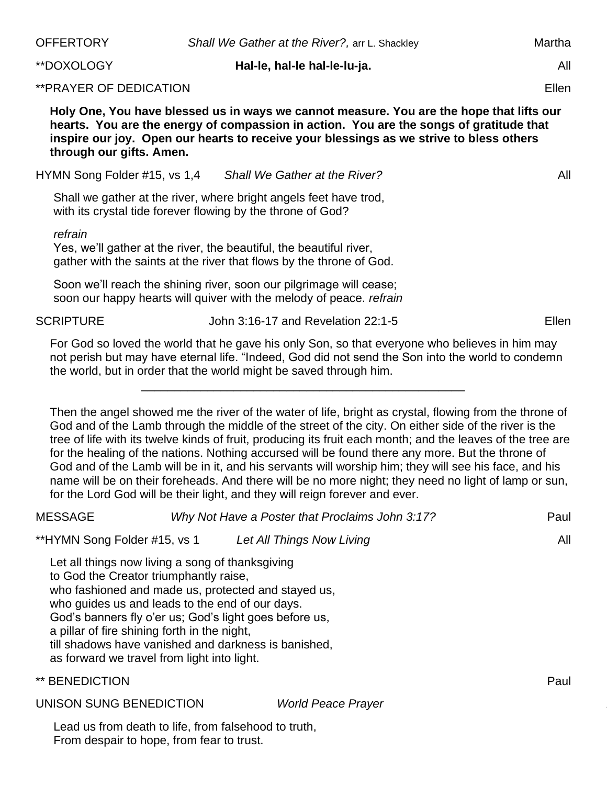| <b>OFFERTORY</b>                                                                                                                                                                                                                                                                                                                                                                                                      | Shall We Gather at the River?, arr L. Shackley                                                                                                                                                                                                                                                                                                                                                                                                                                                                                                                                                                                                                                                                                    | Martha |
|-----------------------------------------------------------------------------------------------------------------------------------------------------------------------------------------------------------------------------------------------------------------------------------------------------------------------------------------------------------------------------------------------------------------------|-----------------------------------------------------------------------------------------------------------------------------------------------------------------------------------------------------------------------------------------------------------------------------------------------------------------------------------------------------------------------------------------------------------------------------------------------------------------------------------------------------------------------------------------------------------------------------------------------------------------------------------------------------------------------------------------------------------------------------------|--------|
| **DOXOLOGY                                                                                                                                                                                                                                                                                                                                                                                                            | Hal-le, hal-le hal-le-lu-ja.                                                                                                                                                                                                                                                                                                                                                                                                                                                                                                                                                                                                                                                                                                      | All    |
| ** PRAYER OF DEDICATION                                                                                                                                                                                                                                                                                                                                                                                               |                                                                                                                                                                                                                                                                                                                                                                                                                                                                                                                                                                                                                                                                                                                                   | Ellen  |
| through our gifts. Amen.                                                                                                                                                                                                                                                                                                                                                                                              | Holy One, You have blessed us in ways we cannot measure. You are the hope that lifts our<br>hearts. You are the energy of compassion in action. You are the songs of gratitude that<br>inspire our joy. Open our hearts to receive your blessings as we strive to bless others                                                                                                                                                                                                                                                                                                                                                                                                                                                    |        |
| HYMN Song Folder #15, vs 1,4                                                                                                                                                                                                                                                                                                                                                                                          | Shall We Gather at the River?                                                                                                                                                                                                                                                                                                                                                                                                                                                                                                                                                                                                                                                                                                     | All    |
| with its crystal tide forever flowing by the throne of God?                                                                                                                                                                                                                                                                                                                                                           | Shall we gather at the river, where bright angels feet have trod,                                                                                                                                                                                                                                                                                                                                                                                                                                                                                                                                                                                                                                                                 |        |
| refrain                                                                                                                                                                                                                                                                                                                                                                                                               | Yes, we'll gather at the river, the beautiful, the beautiful river,<br>gather with the saints at the river that flows by the throne of God.                                                                                                                                                                                                                                                                                                                                                                                                                                                                                                                                                                                       |        |
|                                                                                                                                                                                                                                                                                                                                                                                                                       | Soon we'll reach the shining river, soon our pilgrimage will cease;<br>soon our happy hearts will quiver with the melody of peace. refrain                                                                                                                                                                                                                                                                                                                                                                                                                                                                                                                                                                                        |        |
| <b>SCRIPTURE</b>                                                                                                                                                                                                                                                                                                                                                                                                      | John 3:16-17 and Revelation 22:1-5                                                                                                                                                                                                                                                                                                                                                                                                                                                                                                                                                                                                                                                                                                | Ellen  |
|                                                                                                                                                                                                                                                                                                                                                                                                                       | For God so loved the world that he gave his only Son, so that everyone who believes in him may<br>not perish but may have eternal life. "Indeed, God did not send the Son into the world to condemn<br>the world, but in order that the world might be saved through him.                                                                                                                                                                                                                                                                                                                                                                                                                                                         |        |
|                                                                                                                                                                                                                                                                                                                                                                                                                       | Then the angel showed me the river of the water of life, bright as crystal, flowing from the throne of<br>God and of the Lamb through the middle of the street of the city. On either side of the river is the<br>tree of life with its twelve kinds of fruit, producing its fruit each month; and the leaves of the tree are<br>for the healing of the nations. Nothing accursed will be found there any more. But the throne of<br>God and of the Lamb will be in it, and his servants will worship him; they will see his face, and his<br>name will be on their foreheads. And there will be no more night; they need no light of lamp or sun,<br>for the Lord God will be their light, and they will reign forever and ever. |        |
| <b>MESSAGE</b>                                                                                                                                                                                                                                                                                                                                                                                                        | Why Not Have a Poster that Proclaims John 3:17?                                                                                                                                                                                                                                                                                                                                                                                                                                                                                                                                                                                                                                                                                   | Paul   |
| **HYMN Song Folder #15, vs 1                                                                                                                                                                                                                                                                                                                                                                                          | Let All Things Now Living                                                                                                                                                                                                                                                                                                                                                                                                                                                                                                                                                                                                                                                                                                         | All    |
| Let all things now living a song of thanksgiving<br>to God the Creator triumphantly raise,<br>who fashioned and made us, protected and stayed us,<br>who guides us and leads to the end of our days.<br>God's banners fly o'er us; God's light goes before us,<br>a pillar of fire shining forth in the night,<br>till shadows have vanished and darkness is banished,<br>as forward we travel from light into light. |                                                                                                                                                                                                                                                                                                                                                                                                                                                                                                                                                                                                                                                                                                                                   |        |
| ** BENEDICTION                                                                                                                                                                                                                                                                                                                                                                                                        |                                                                                                                                                                                                                                                                                                                                                                                                                                                                                                                                                                                                                                                                                                                                   | Paul   |
| UNISON SUNG BENEDICTION                                                                                                                                                                                                                                                                                                                                                                                               | <b>World Peace Prayer</b>                                                                                                                                                                                                                                                                                                                                                                                                                                                                                                                                                                                                                                                                                                         |        |
| Lead us from death to life, from falsehood to truth,                                                                                                                                                                                                                                                                                                                                                                  |                                                                                                                                                                                                                                                                                                                                                                                                                                                                                                                                                                                                                                                                                                                                   |        |

From despair to hope, from fear to trust.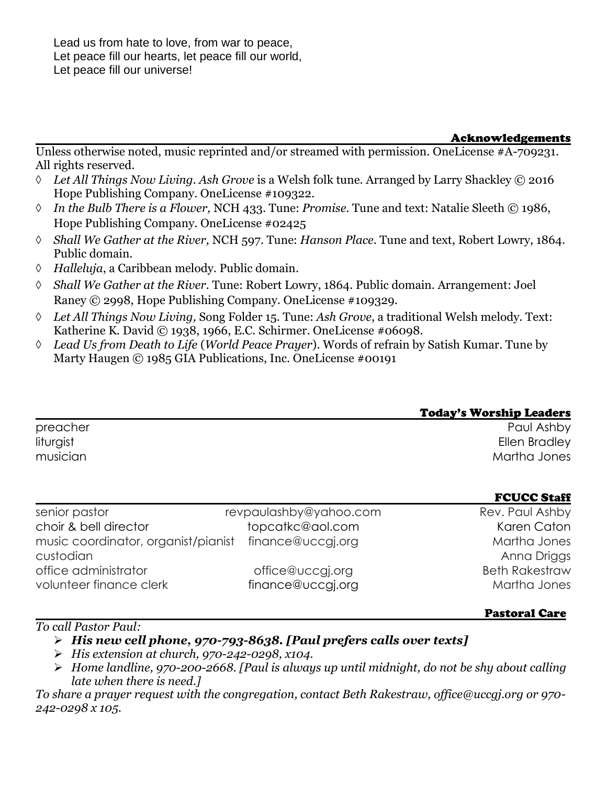Lead us from hate to love, from war to peace, Let peace fill our hearts, let peace fill our world, Let peace fill our universe!

#### Acknowledgements

Unless otherwise noted, music reprinted and/or streamed with permission. OneLicense #A-709231. All rights reserved.

- *Let All Things Now Living. Ash Grove* is a Welsh folk tune. Arranged by Larry Shackley © 2016 Hope Publishing Company. OneLicense #109322.
- *In the Bulb There is a Flower,* NCH 433. Tune: *Promise*. Tune and text: Natalie Sleeth © 1986, Hope Publishing Company. OneLicense #02425
- *Shall We Gather at the River,* NCH 597. Tune: *Hanson Place*. Tune and text, Robert Lowry, 1864. Public domain.
- *Halleluja*, a Caribbean melody. Public domain.
- *Shall We Gather at the River.* Tune: Robert Lowry, 1864. Public domain. Arrangement: Joel Raney © 2998, Hope Publishing Company. OneLicense #109329.
- *Let All Things Now Living,* Song Folder 15. Tune: *Ash Grove*, a traditional Welsh melody. Text: Katherine K. David © 1938, 1966, E.C. Schirmer. OneLicense #06098.
- *Lead Us from Death to Life* (*World Peace Prayer*). Words of refrain by Satish Kumar. Tune by Marty Haugen © 1985 GIA Publications, Inc. OneLicense #00191

|           | <b>Today's Worship Leaders</b> |
|-----------|--------------------------------|
| preacher  | Paul Ashby                     |
| liturgist | Ellen Bradley                  |
| musician  | Martha Jones                   |
|           |                                |

|                                     |                        | <b>FUULL STAIL</b>    |
|-------------------------------------|------------------------|-----------------------|
| senior pastor                       | revpaulashby@yahoo.com | Rev. Paul Ashby       |
| choir & bell director               | topcatkc@aol.com       | Karen Caton           |
| music coordinator, organist/pianist | finance@uccgj.org      | Martha Jones          |
| custodian                           |                        | Anna Driggs           |
| office administrator                | office@uccgi.org       | <b>Beth Rakestraw</b> |
| volunteer finance clerk             | finance@uccgj.org      | Martha Jones          |
|                                     |                        |                       |

#### Pastoral Care

**FOUGO SA-SE** 

*To call Pastor Paul:*

➢ *His new cell phone, 970-793-8638. [Paul prefers calls over texts]*

- ➢ *His extension at church, 970-242-0298, x104.*
- ➢ *Home landline, 970-200-2668. [Paul is always up until midnight, do not be shy about calling late when there is need.]*

*To share a prayer request with the congregation, contact Beth Rakestraw, office@uccgj.org or 970- 242-0298 x 105.*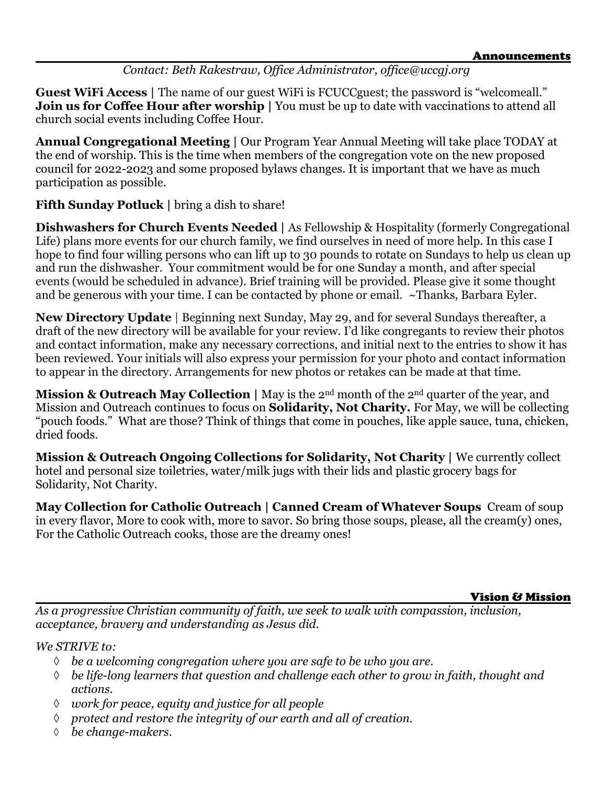# *Contact: Beth Rakestraw, Office Administrator, office@uccgj.org*

**Guest WiFi Access** | The name of our guest WiFi is FCUCC guest; the password is "welcomeall." **Join us for Coffee Hour after worship** | You must be up to date with vaccinations to attend all church social events including Coffee Hour.

**Annual Congregational Meeting |** Our Program Year Annual Meeting will take place TODAY at the end of worship. This is the time when members of the congregation vote on the new proposed council for 2022-2023 and some proposed bylaws changes. It is important that we have as much participation as possible.

**Fifth Sunday Potluck** | bring a dish to share!

**Dishwashers for Church Events Needed |** As Fellowship & Hospitality (formerly Congregational Life) plans more events for our church family, we find ourselves in need of more help. In this case I hope to find four willing persons who can lift up to 30 pounds to rotate on Sundays to help us clean up and run the dishwasher. Your commitment would be for one Sunday a month, and after special events (would be scheduled in advance). Brief training will be provided. Please give it some thought and be generous with your time. I can be contacted by phone or email. ~Thanks, Barbara Eyler.

**New Directory Update** | Beginning next Sunday, May 29, and for several Sundays thereafter, a draft of the new directory will be available for your review. I'd like congregants to review their photos and contact information, make any necessary corrections, and initial next to the entries to show it has been reviewed. Your initials will also express your permission for your photo and contact information to appear in the directory. Arrangements for new photos or retakes can be made at that time.

**Mission & Outreach May Collection** | May is the 2<sup>nd</sup> month of the 2<sup>nd</sup> quarter of the year, and Mission and Outreach continues to focus on **Solidarity, Not Charity.** For May, we will be collecting "pouch foods." What are those? Think of things that come in pouches, like apple sauce, tuna, chicken, dried foods.

**Mission & Outreach Ongoing Collections for Solidarity, Not Charity |** We currently collect hotel and personal size toiletries, water/milk jugs with their lids and plastic grocery bags for Solidarity, Not Charity.

**May Collection for Catholic Outreach | Canned Cream of Whatever Soups** Cream of soup in every flavor, More to cook with, more to savor. So bring those soups, please, all the cream(y) ones, For the Catholic Outreach cooks, those are the dreamy ones!

Vision & Mission

*As a progressive Christian community of faith, we seek to walk with compassion, inclusion, acceptance, bravery and understanding as Jesus did.*

*We STRIVE to:* 

- *be a welcoming congregation where you are safe to be who you are.*
- *be life-long learners that question and challenge each other to grow in faith, thought and actions.*
- *work for peace, equity and justice for all people*
- *protect and restore the integrity of our earth and all of creation.*
- *be change-makers.*